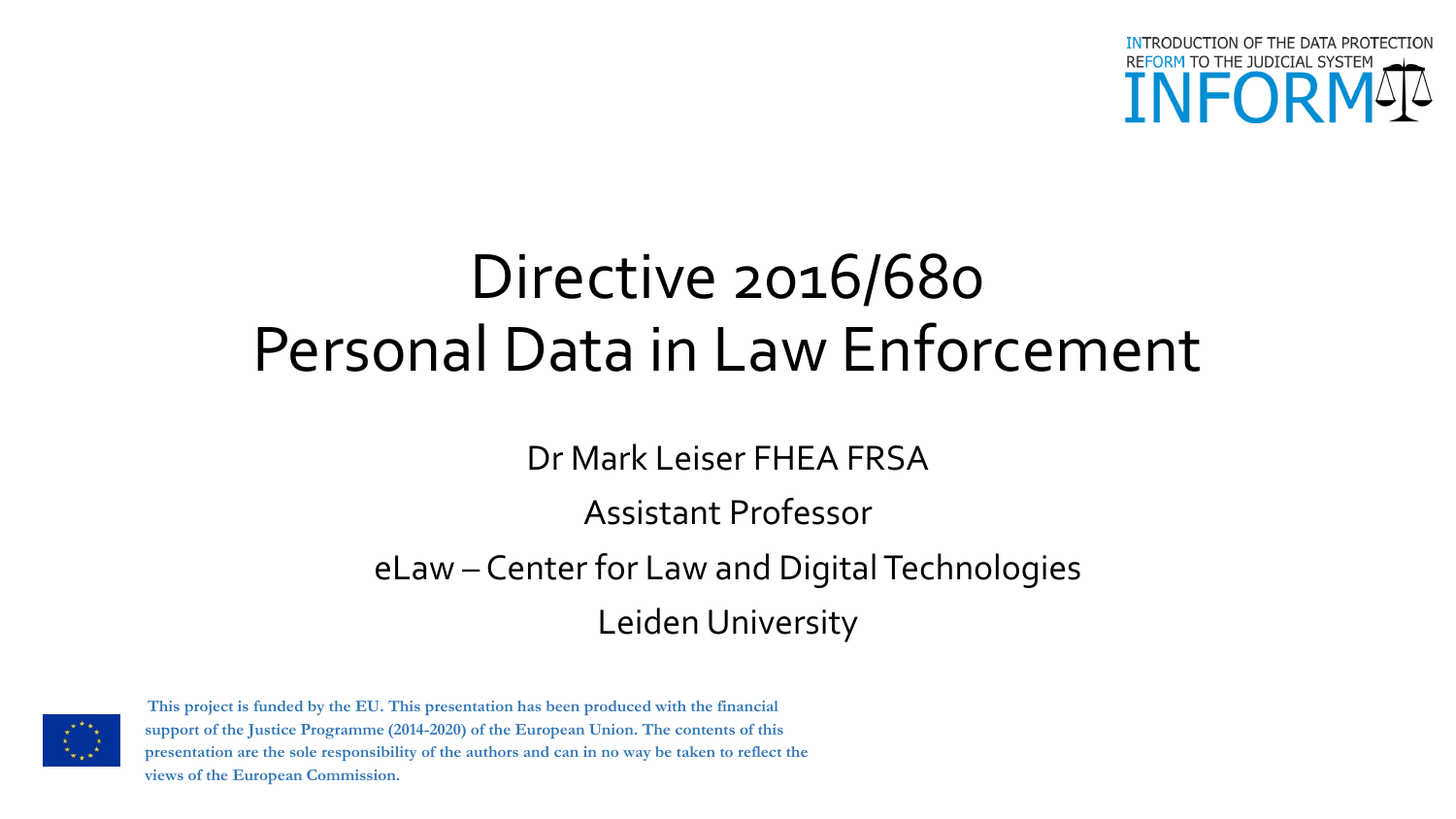

# Directive 2016/680 Personal Data in Law Enforcement

Dr Mark Leiser FHEA FRSA

#### Assistant Professor

eLaw – Center for Law and Digital Technologies Leiden University



**This project is funded by the EU. This presentation has been produced with the financial support of the Justice Programme (2014-2020) of the European Union. The contents of this presentation are the sole responsibility of the authors and can in no way be taken to reflect the views of the European Commission.**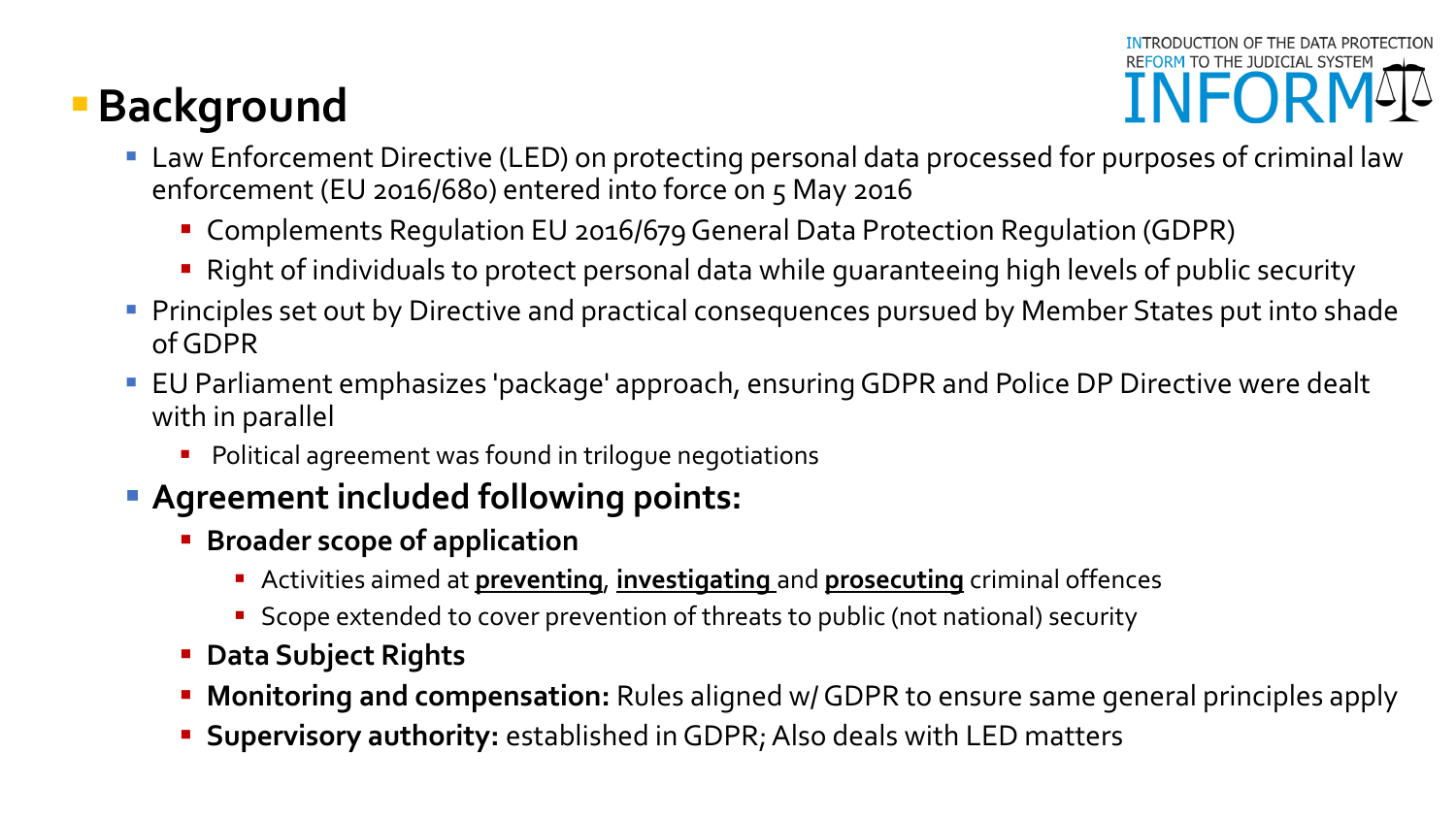# **Background**



- Law Enforcement Directive (LED) on protecting personal data processed for purposes of criminal law enforcement (EU 2016/680) entered into force on 5 May 2016
	- Complements Regulation EU 2016/679 General Data Protection Regulation (GDPR)
	- Right of individuals to protect personal data while guaranteeing high levels of public security
- **Phinciples set out by Directive and practical consequences pursued by Member States put into shade** of GDPR
- EU Parliament emphasizes 'package' approach, ensuring GDPR and Police DP Directive were dealt with in parallel
	- **Political agreement was found in trilogue negotiations**

#### **Agreement included following points:**

- **Broader scope of application** 
	- Activities aimed at **preventing**, **investigating** and **prosecuting** criminal offences
	- **Scope extended to cover prevention of threats to public (not national) security**
- **Data Subject Rights**
- **Monitoring and compensation:** Rules aligned w/ GDPR to ensure same general principles apply
- **Supervisory authority:** established in GDPR; Also deals with LED matters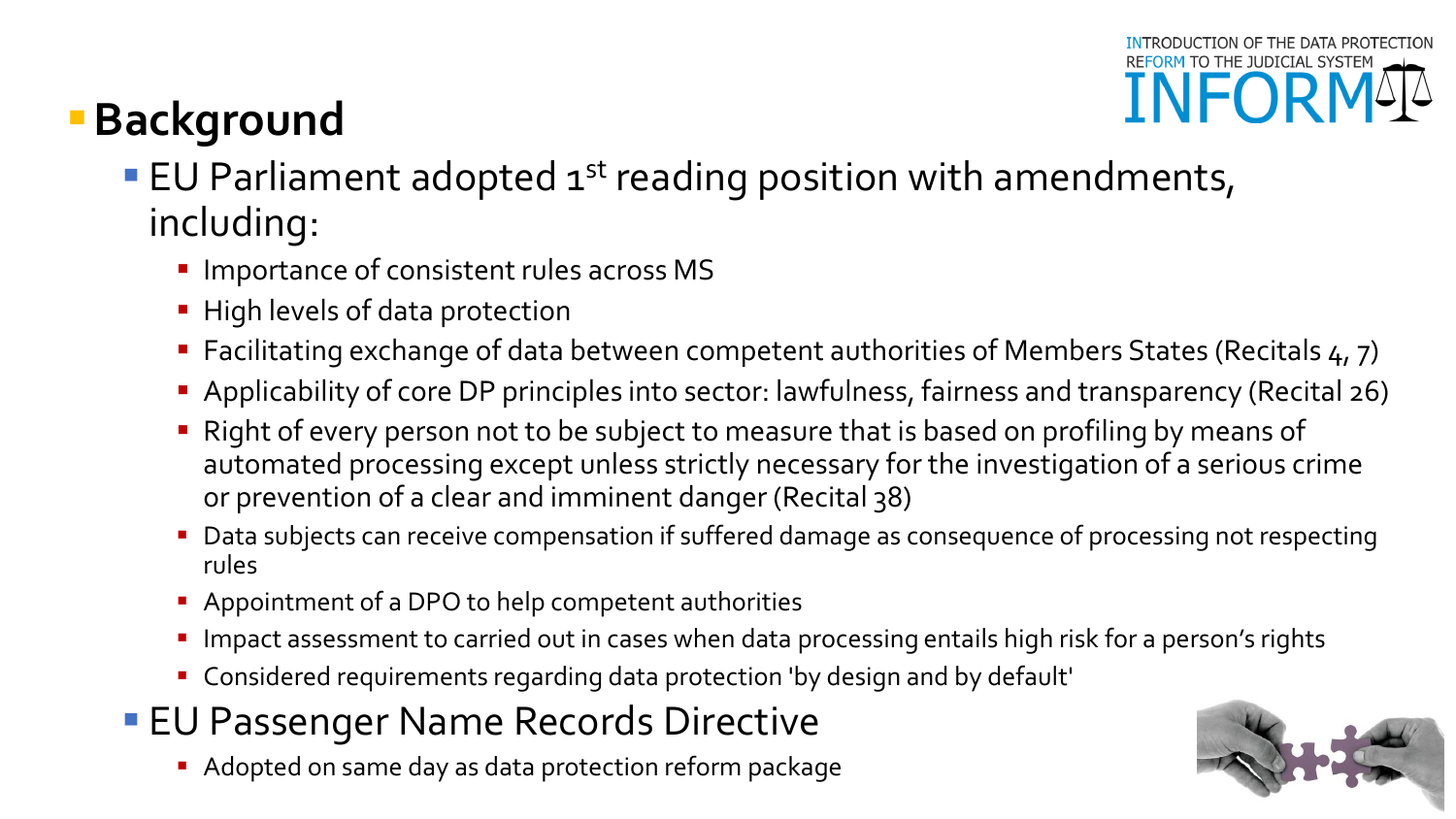# **Background**

- **EU Parliament adopted**  $1^{st}$  **reading position with amendments,** including:
	- **Importance of consistent rules across MS**
	- **High levels of data protection**
	- Facilitating exchange of data between competent authorities of Members States (Recitals 4, 7)
	- Applicability of core DP principles into sector: lawfulness, fairness and transparency (Recital 26)
	- Right of every person not to be subject to measure that is based on profiling by means of automated processing except unless strictly necessary for the investigation of a serious crime or prevention of a clear and imminent danger (Recital 38)
	- Data subjects can receive compensation if suffered damage as consequence of processing not respecting rules
	- **Appointment of a DPO to help competent authorities**
	- **Impact assessment to carried out in cases when data processing entails high risk for a person's rights**
	- Considered requirements regarding data protection 'by design and by default'
- **EU Passenger Name Records Directive** 
	- Adopted on same day as data protection reform package

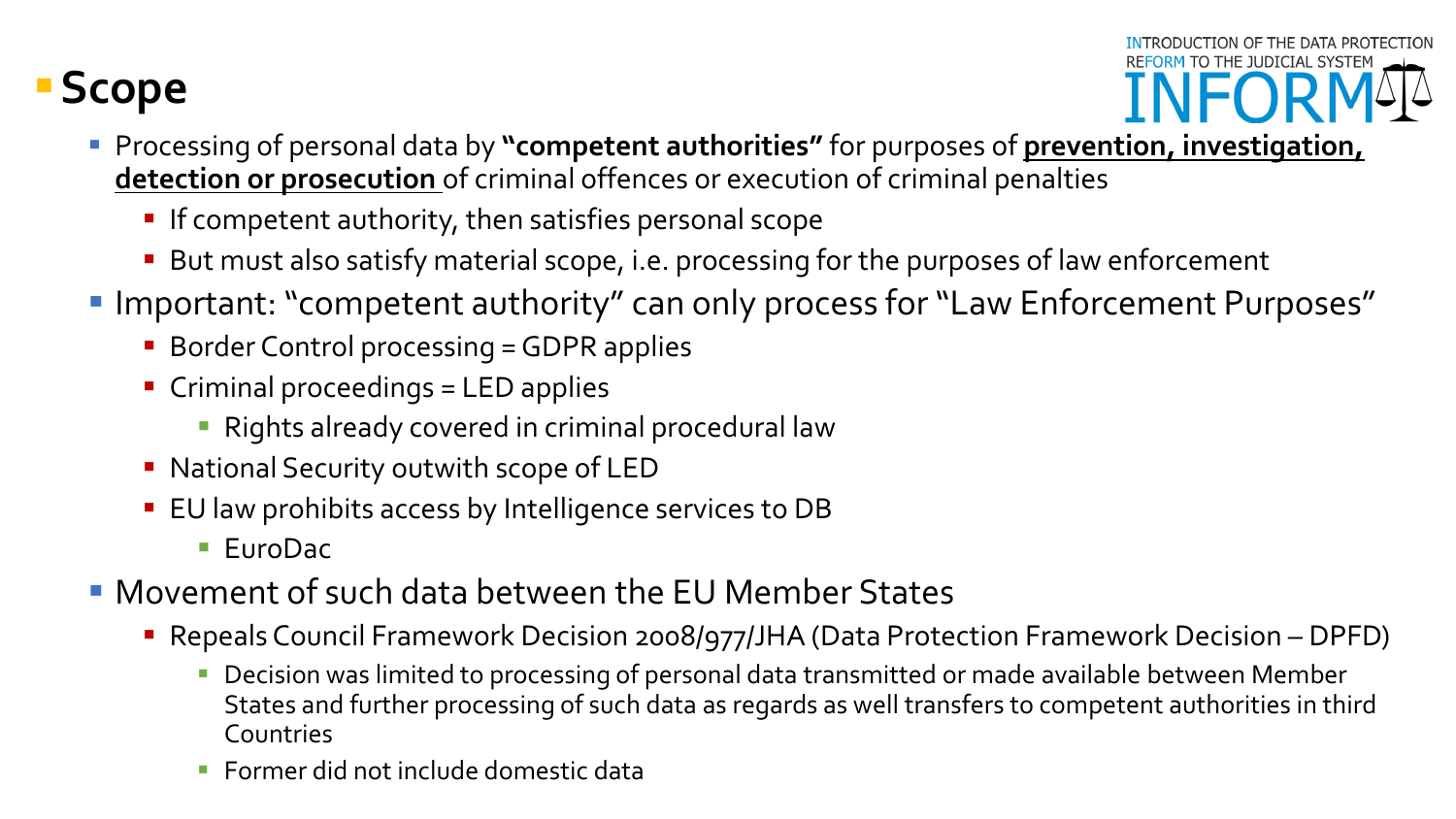# **Scope**



- **Processing of personal data by "competent authorities"** for purposes of **prevention, investigation, detection or prosecution** of criminal offences or execution of criminal penalties
	- **If competent authority, then satisfies personal scope**
	- But must also satisfy material scope, i.e. processing for the purposes of law enforcement
- Important: "competent authority" can only process for "Law Enforcement Purposes"
	- **Border Control processing = GDPR applies**
	- Criminal proceedings = LED applies
		- **Rights already covered in criminal procedural law**
	- National Security outwith scope of LED
	- **EU** law prohibits access by Intelligence services to DB
		- EuroDac
- Movement of such data between the EU Member States
	- Repeals Council Framework Decision 2008/977/JHA (Data Protection Framework Decision DPFD)
		- **Decision was limited to processing of personal data transmitted or made available between Member** States and further processing of such data as regards as well transfers to competent authorities in third Countries
		- **Former did not include domestic data**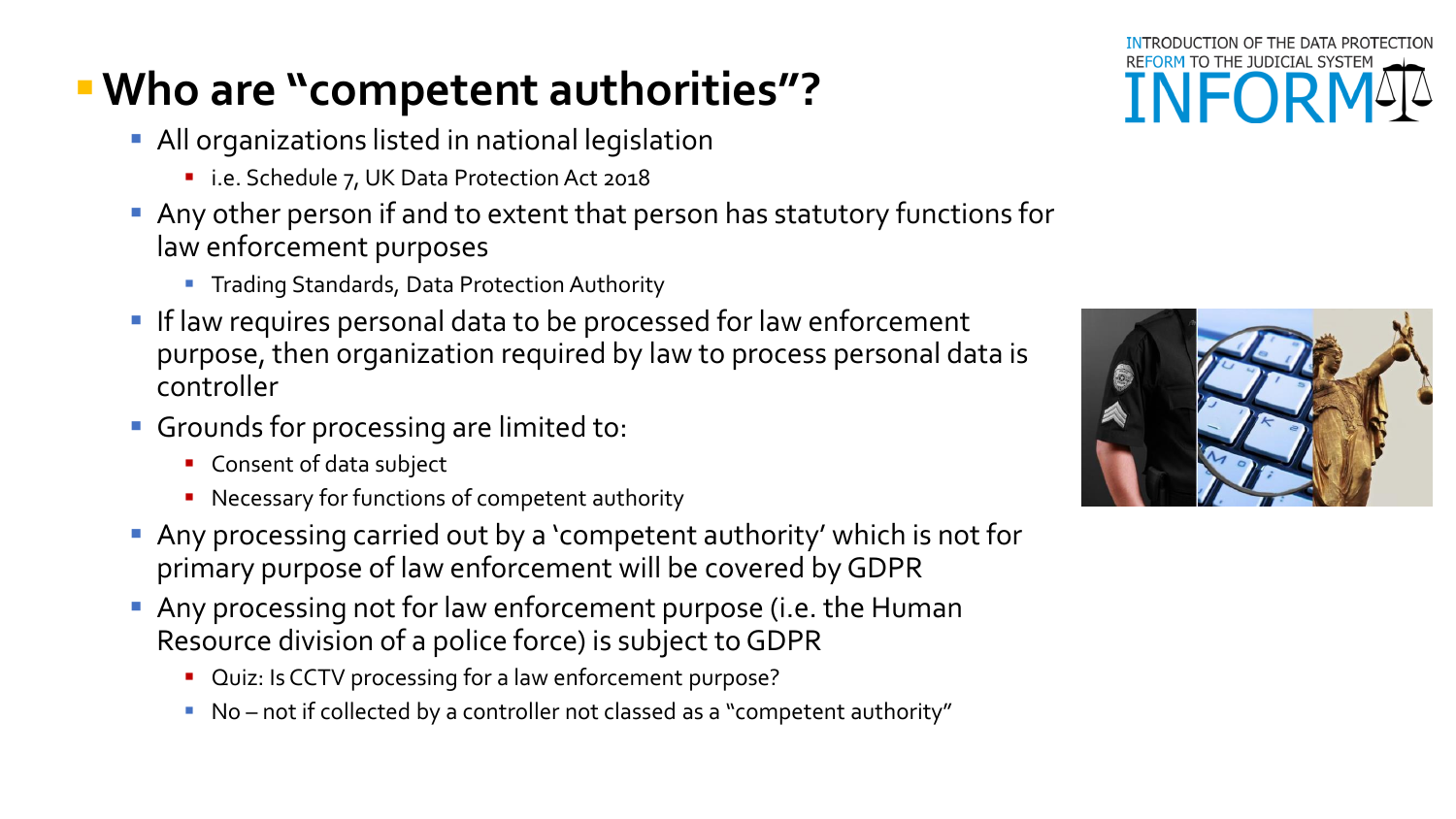# **Who are "competent authorities"?**

- **All organizations listed in national legislation** 
	- i.e. Schedule 7, UK Data Protection Act 2018
- Any other person if and to extent that person has statutory functions for law enforcement purposes
	- **Trading Standards, Data Protection Authority**
- **If law requires personal data to be processed for law enforcement** purpose, then organization required by law to process personal data is controller
- Grounds for processing are limited to:
	- **Consent of data subject**
	- **Necessary for functions of competent authority**
- Any processing carried out by a 'competent authority' which is not for primary purpose of law enforcement will be covered by GDPR
- Any processing not for law enforcement purpose (i.e. the Human Resource division of a police force) is subject to GDPR
	- **Quiz: Is CCTV processing for a law enforcement purpose?**
	- No not if collected by a controller not classed as a "competent authority"



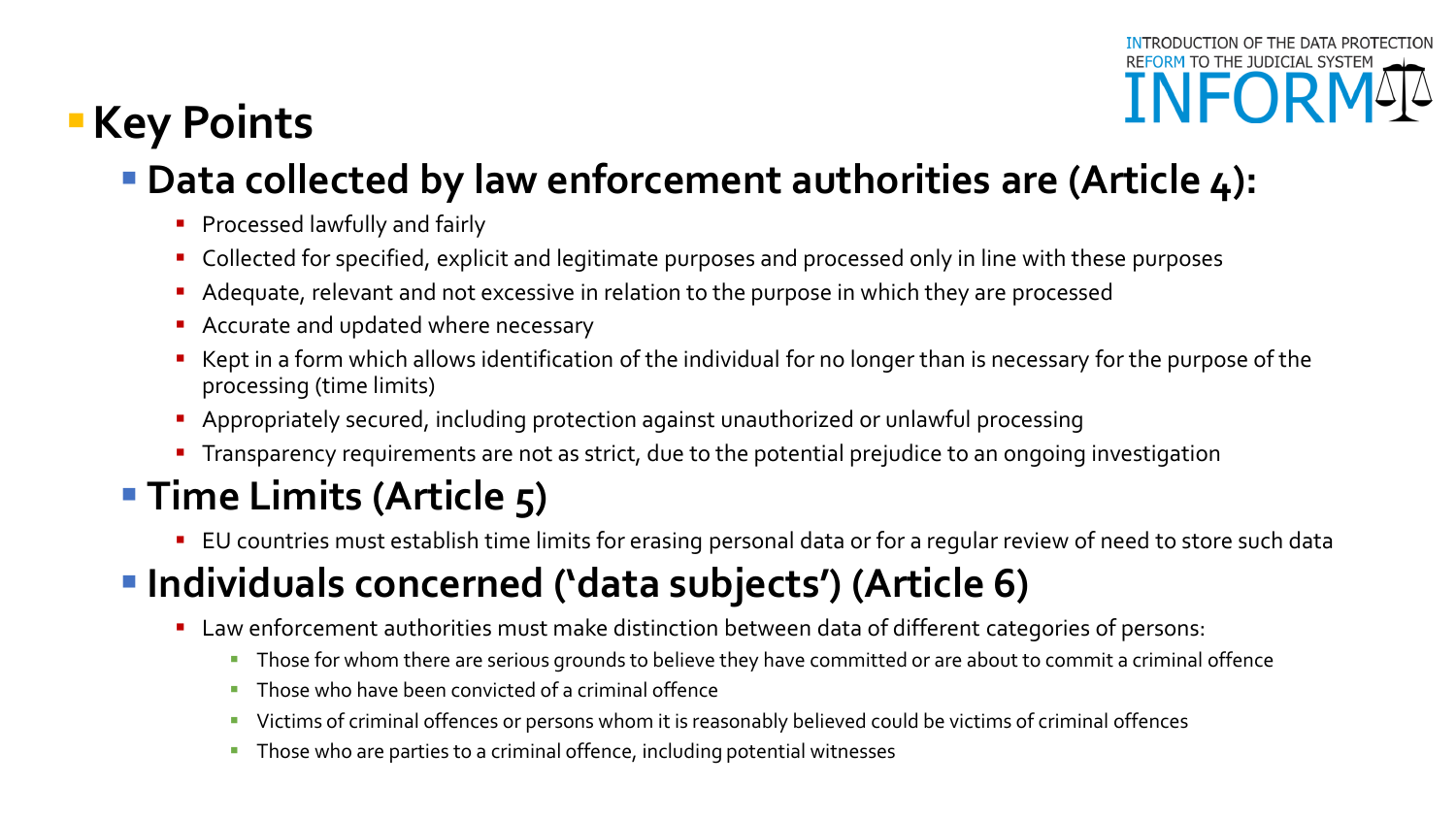# **Key Points**

# **Data collected by law enforcement authorities are (Article 4):**

- **Processed lawfully and fairly**
- **Collected for specified, explicit and legitimate purposes and processed only in line with these purposes**
- Adequate, relevant and not excessive in relation to the purpose in which they are processed
- Accurate and updated where necessary
- Kept in a form which allows identification of the individual for no longer than is necessary for the purpose of the processing (time limits)
- Appropriately secured, including protection against unauthorized or unlawful processing
- **Transparency requirements are not as strict, due to the potential prejudice to an ongoing investigation**

# **Time Limits (Article 5)**

**EU** countries must establish time limits for erasing personal data or for a regular review of need to store such data

# **Individuals concerned ('data subjects') (Article 6)**

- Law enforcement authorities must make distinction between data of different categories of persons:
	- Those for whom there are serious grounds to believe they have committed or are about to commit a criminal offence
	- Those who have been convicted of a criminal offence
	- Victims of criminal offences or persons whom it is reasonably believed could be victims of criminal offences
	- **Those who are parties to a criminal offence, including potential witnesses**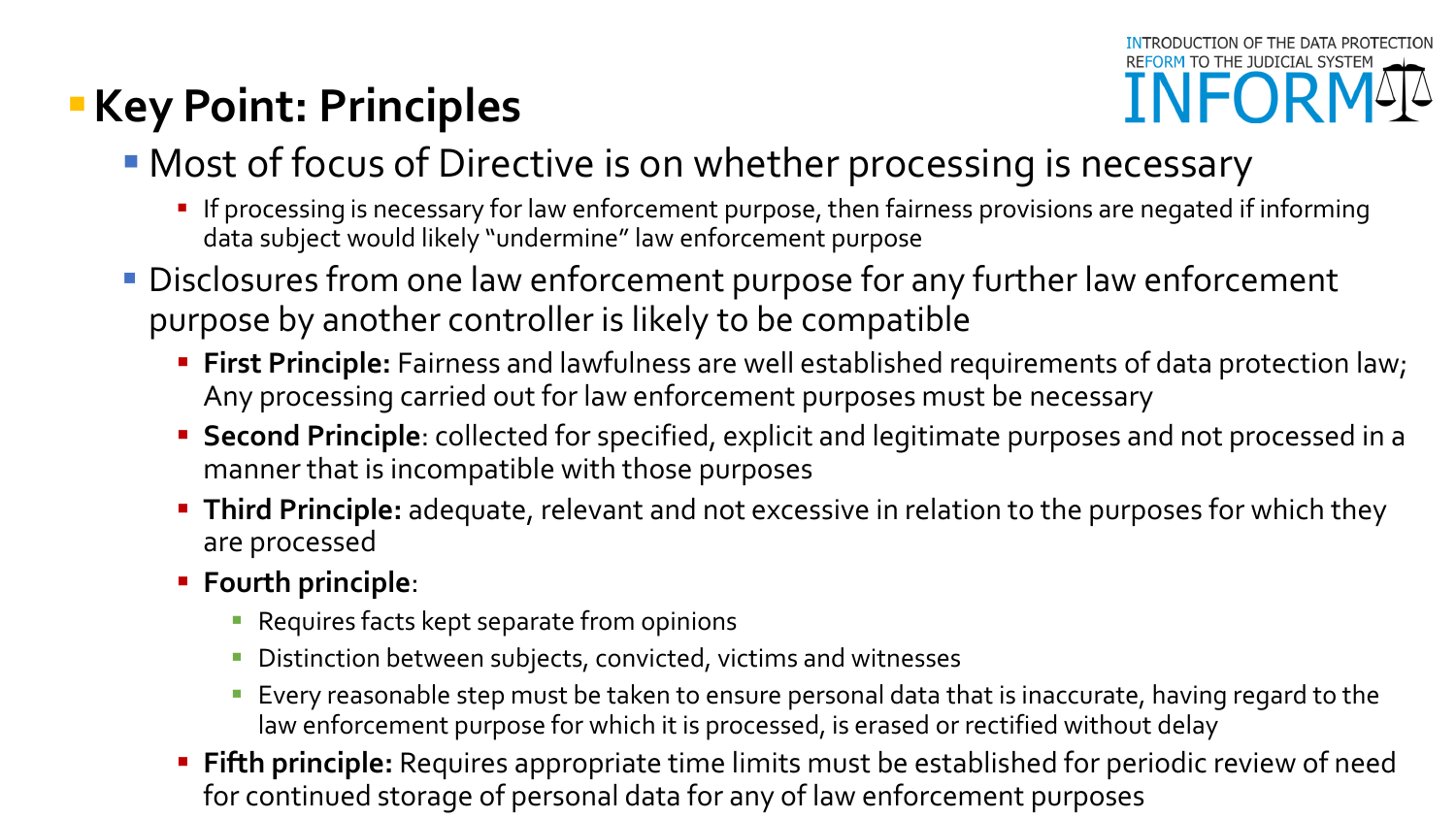# **Key Point: Principles**



- **Most of focus of Directive is on whether processing is necessary** 
	- **If processing is necessary for law enforcement purpose, then fairness provisions are negated if informing** data subject would likely "undermine" law enforcement purpose
- **Disclosures from one law enforcement purpose for any further law enforcement** purpose by another controller is likely to be compatible
	- **First Principle:** Fairness and lawfulness are well established requirements of data protection law; Any processing carried out for law enforcement purposes must be necessary
	- **Second Principle**: collected for specified, explicit and legitimate purposes and not processed in a manner that is incompatible with those purposes
	- **Third Principle:** adequate, relevant and not excessive in relation to the purposes for which they are processed
	- **Fourth principle**:
		- **Requires facts kept separate from opinions**
		- **Distinction between subjects, convicted, victims and witnesses**
		- **Exery reasonable step must be taken to ensure personal data that is inaccurate, having regard to the** law enforcement purpose for which it is processed, is erased or rectified without delay
	- **Fifth principle:** Requires appropriate time limits must be established for periodic review of need for continued storage of personal data for any of law enforcement purposes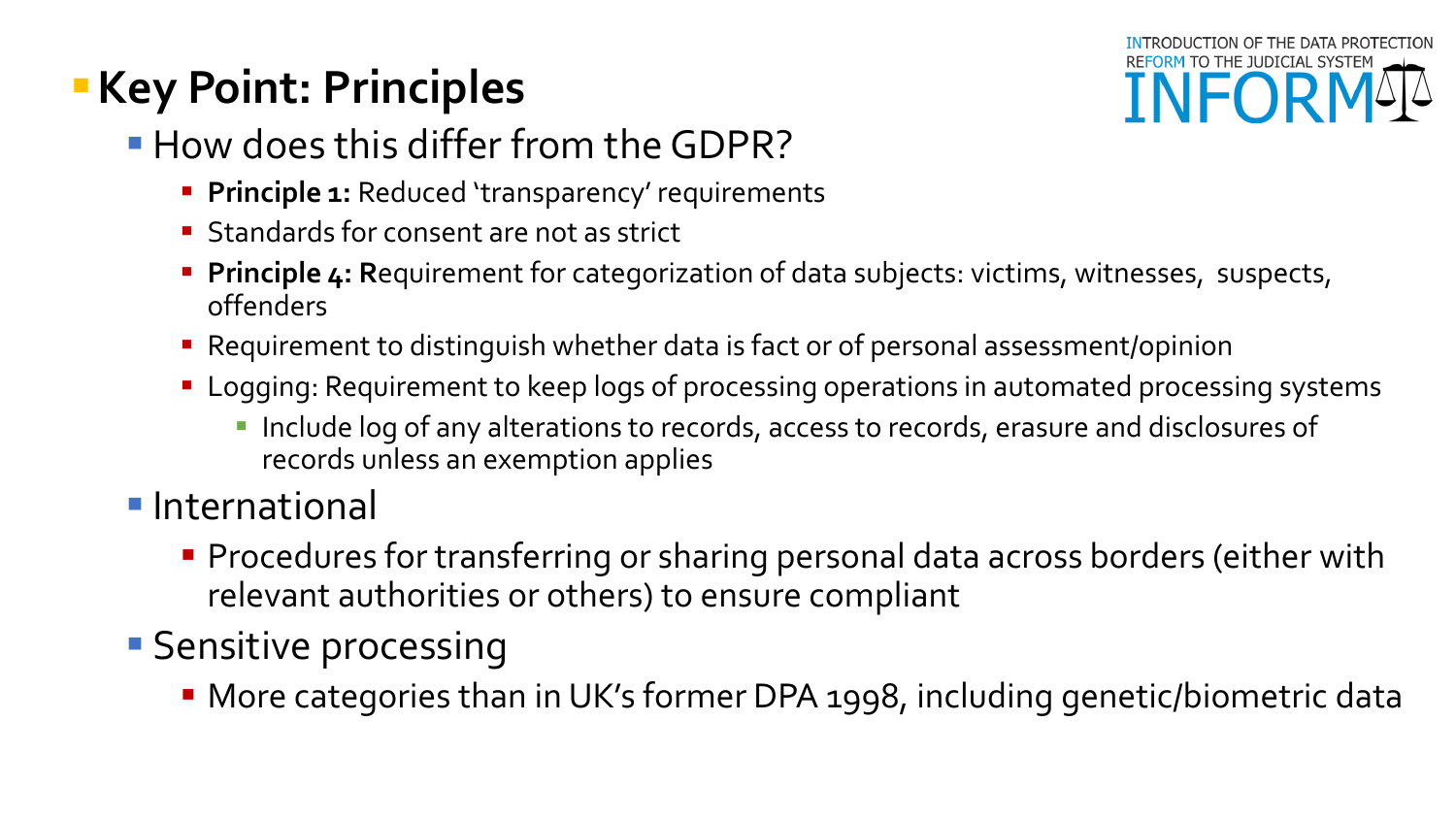# **Key Point: Principles**



- How does this differ from the GDPR?
	- **Principle 1:** Reduced 'transparency' requirements
	- **Standards for consent are not as strict**
	- **Principle 4: Requirement for categorization of data subjects: victims, witnesses, suspects,** offenders
	- Requirement to distinguish whether data is fact or of personal assessment/opinion
	- **Logging: Requirement to keep logs of processing operations in automated processing systems** 
		- **Include log of any alterations to records, access to records, erasure and disclosures of** records unless an exemption applies
- **International** 
	- **Procedures for transferring or sharing personal data across borders (either with** relevant authorities or others) to ensure compliant
- **Sensitive processing** 
	- More categories than in UK's former DPA 1998, including genetic/biometric data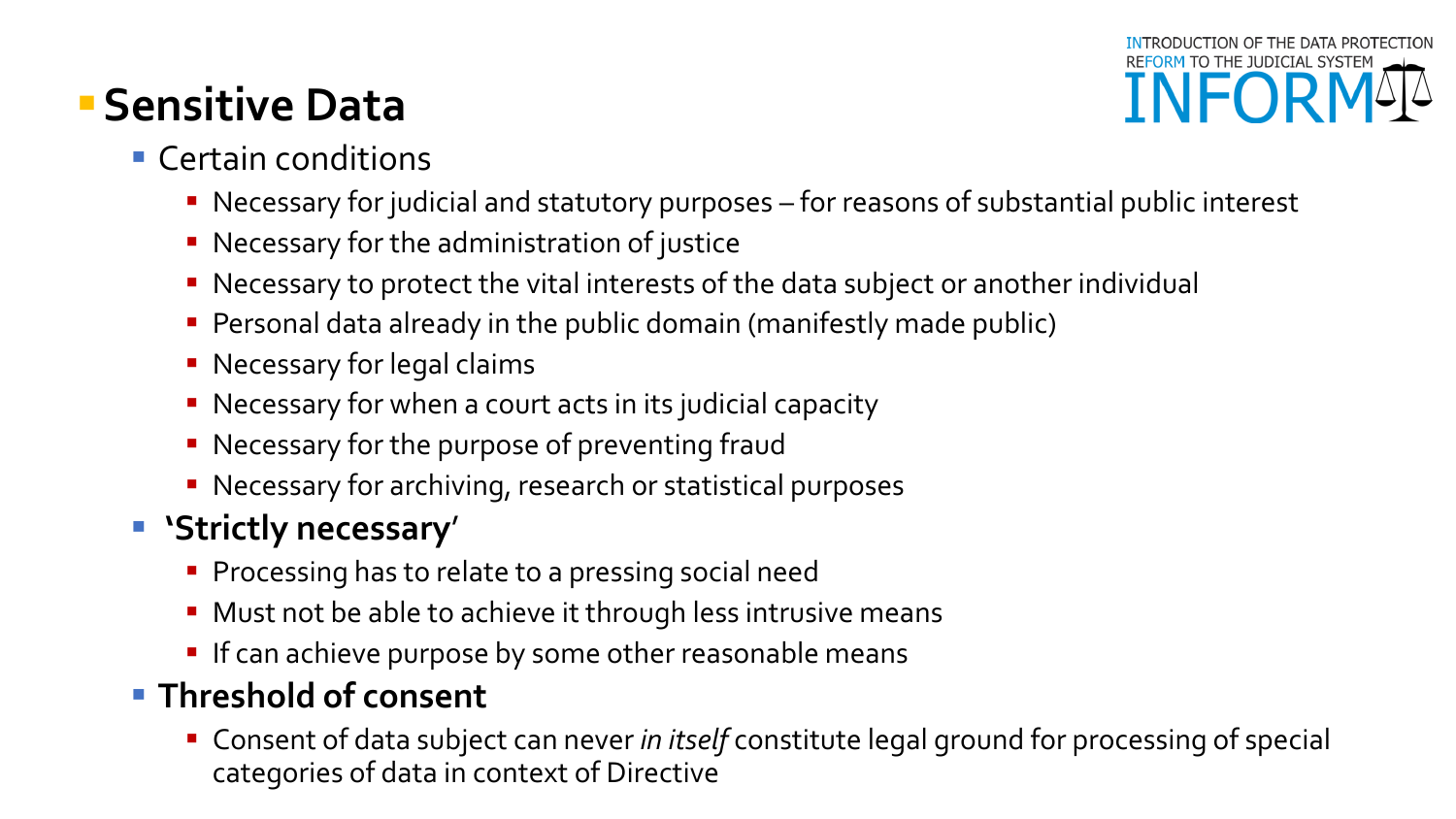# **Sensitive Data**

# **INFOR**

#### **Certain conditions**

- Necessary for judicial and statutory purposes for reasons of substantial public interest
- **Necessary for the administration of justice**
- Necessary to protect the vital interests of the data subject or another individual
- Personal data already in the public domain (manifestly made public)
- **Necessary for legal claims**
- Necessary for when a court acts in its judicial capacity
- **Necessary for the purpose of preventing fraud**
- **Necessary for archiving, research or statistical purposes**

## **'Strictly necessary**'

- **Processing has to relate to a pressing social need**
- **Must not be able to achieve it through less intrusive means**
- **If can achieve purpose by some other reasonable means**

### **Threshold of consent**

 Consent of data subject can never *in itself* constitute legal ground for processing of special categories of data in context of Directive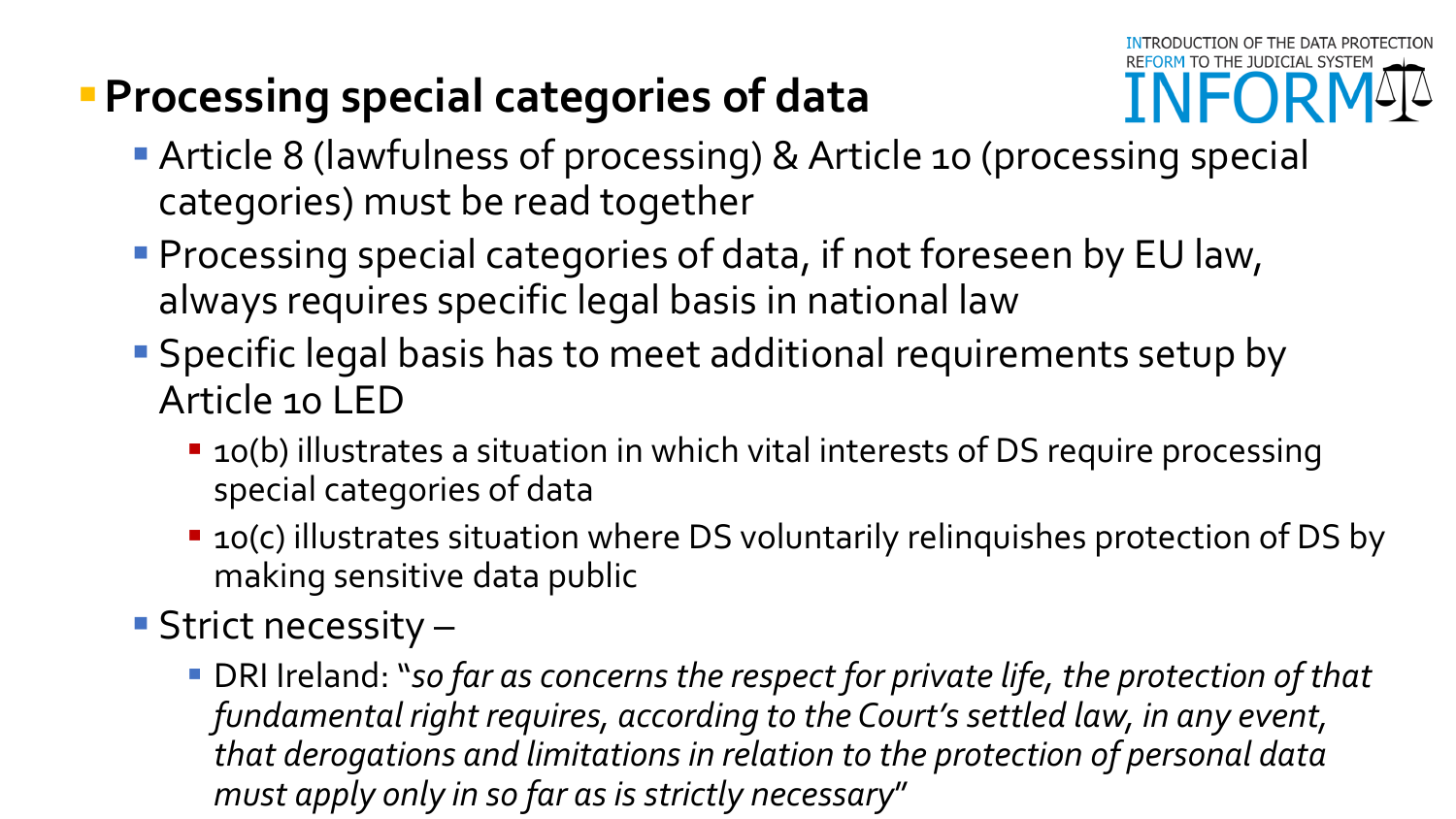# **Processing special categories of data**



- **Article 8 (lawfulness of processing) & Article 10 (processing special** categories) must be read together
- **Processing special categories of data, if not foreseen by EU law,** always requires specific legal basis in national law
- Specific legal basis has to meet additional requirements setup by Article 10 LED
	- **10(b)** illustrates a situation in which vital interests of DS require processing special categories of data
	- 10(c) illustrates situation where DS voluntarily relinquishes protection of DS by making sensitive data public
- **Strict necessity** 
	- DRI Ireland: "so far as concerns the respect for private life, the protection of that *fundamental right requires, according to the Court's settled law, in any event, that derogations and limitations in relation to the protection of personal data must apply only in so far as is strictly necessary*"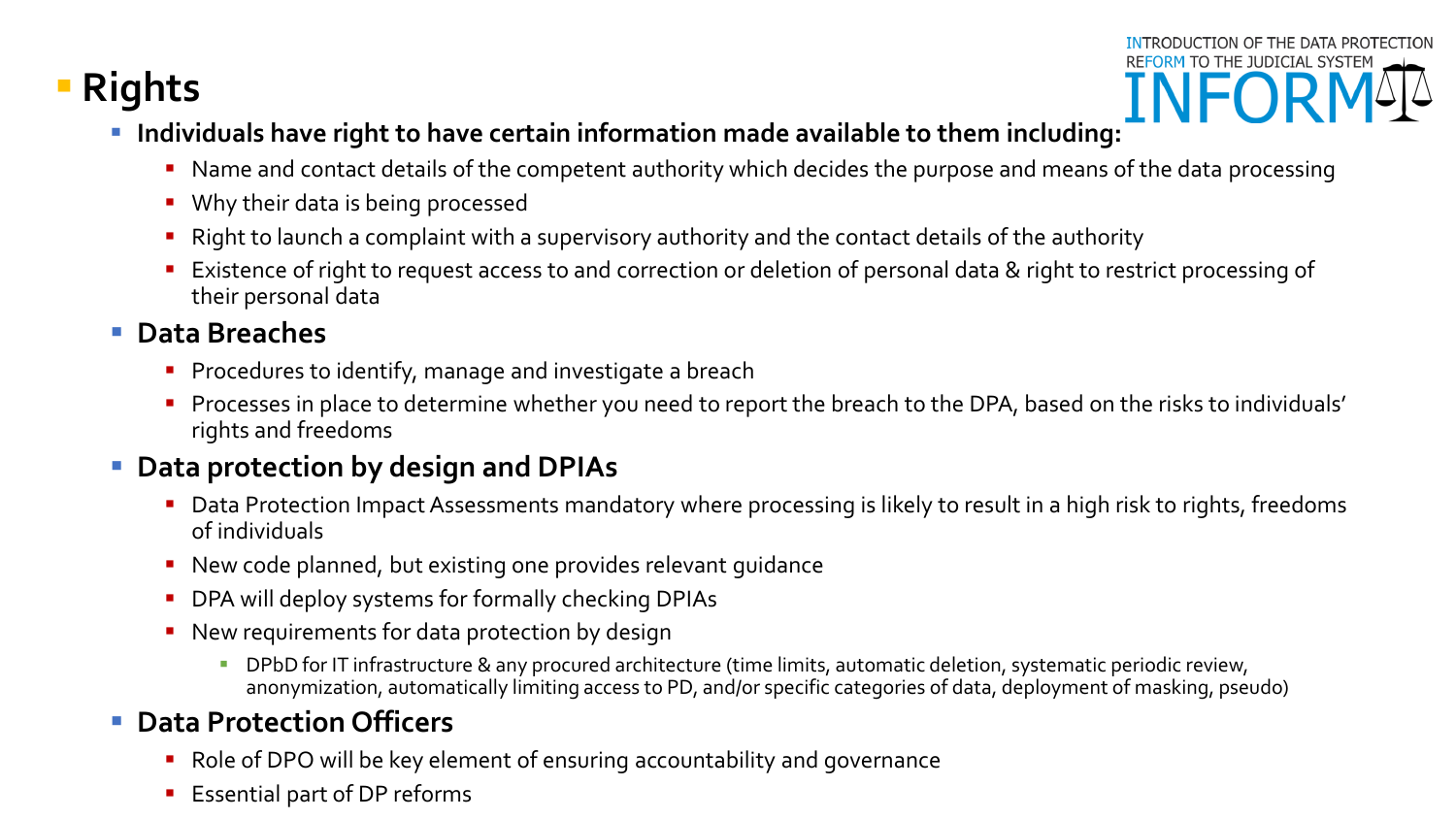## **Rights**

- INTRODUCTION OF THE DATA PROTECTION REFORM TO THE JUDICIAL SYSTEM
- **Individuals have right to have certain information made available to them including:**
	- Name and contact details of the competent authority which decides the purpose and means of the data processing
	- **Why their data is being processed**
	- Right to launch a complaint with a supervisory authority and the contact details of the authority
	- Existence of right to request access to and correction or deletion of personal data & right to restrict processing of their personal data

#### **Data Breaches**

- **Procedures to identify, manage and investigate a breach**
- **Processes in place to determine whether you need to report the breach to the DPA, based on the risks to individuals'** rights and freedoms

#### **Data protection by design and DPIAs**

- Data Protection Impact Assessments mandatory where processing is likely to result in a high risk to rights, freedoms of individuals
- New code planned, but existing one provides relevant guidance
- DPA will deploy systems for formally checking DPIAs
- **New requirements for data protection by design** 
	- **DPbD** for IT infrastructure & any procured architecture (time limits, automatic deletion, systematic periodic review, anonymization, automatically limiting access to PD, and/or specific categories of data, deployment of masking, pseudo)

#### **Data Protection Officers**

- **Role of DPO will be key element of ensuring accountability and governance**
- Essential part of DP reforms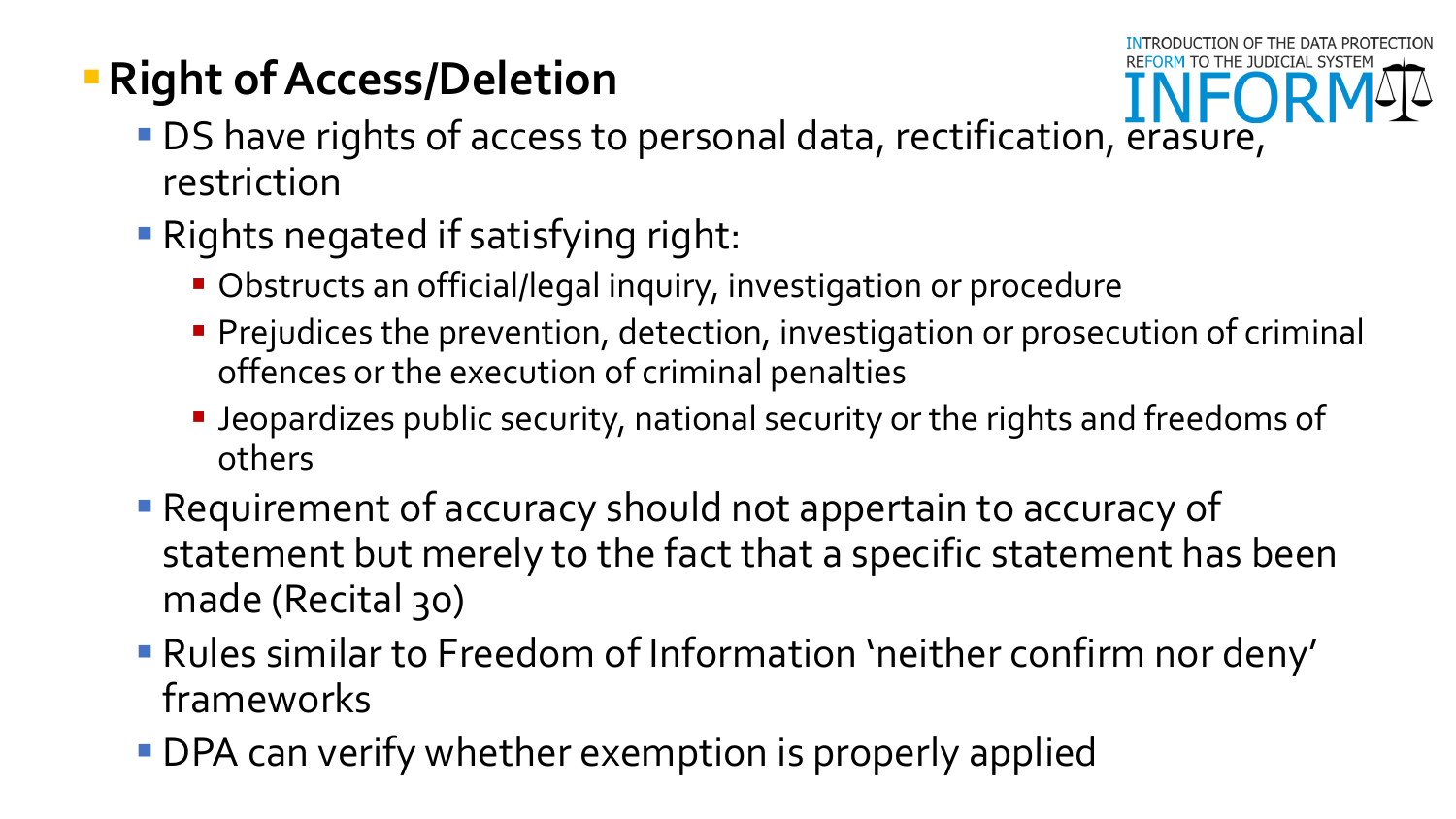# **Right of Access/Deletion**



- DS have rights of access to personal data, rectification, erasure, restriction
- **Rights negated if satisfying right:** 
	- Obstructs an official/legal inquiry, investigation or procedure
	- **Prejudices the prevention, detection, investigation or prosecution of criminal** offences or the execution of criminal penalties
	- **-** Jeopardizes public security, national security or the rights and freedoms of others
- Requirement of accuracy should not appertain to accuracy of statement but merely to the fact that a specific statement has been made (Recital 30)
- Rules similar to Freedom of Information 'neither confirm nor deny' frameworks
- **DPA can verify whether exemption is properly applied**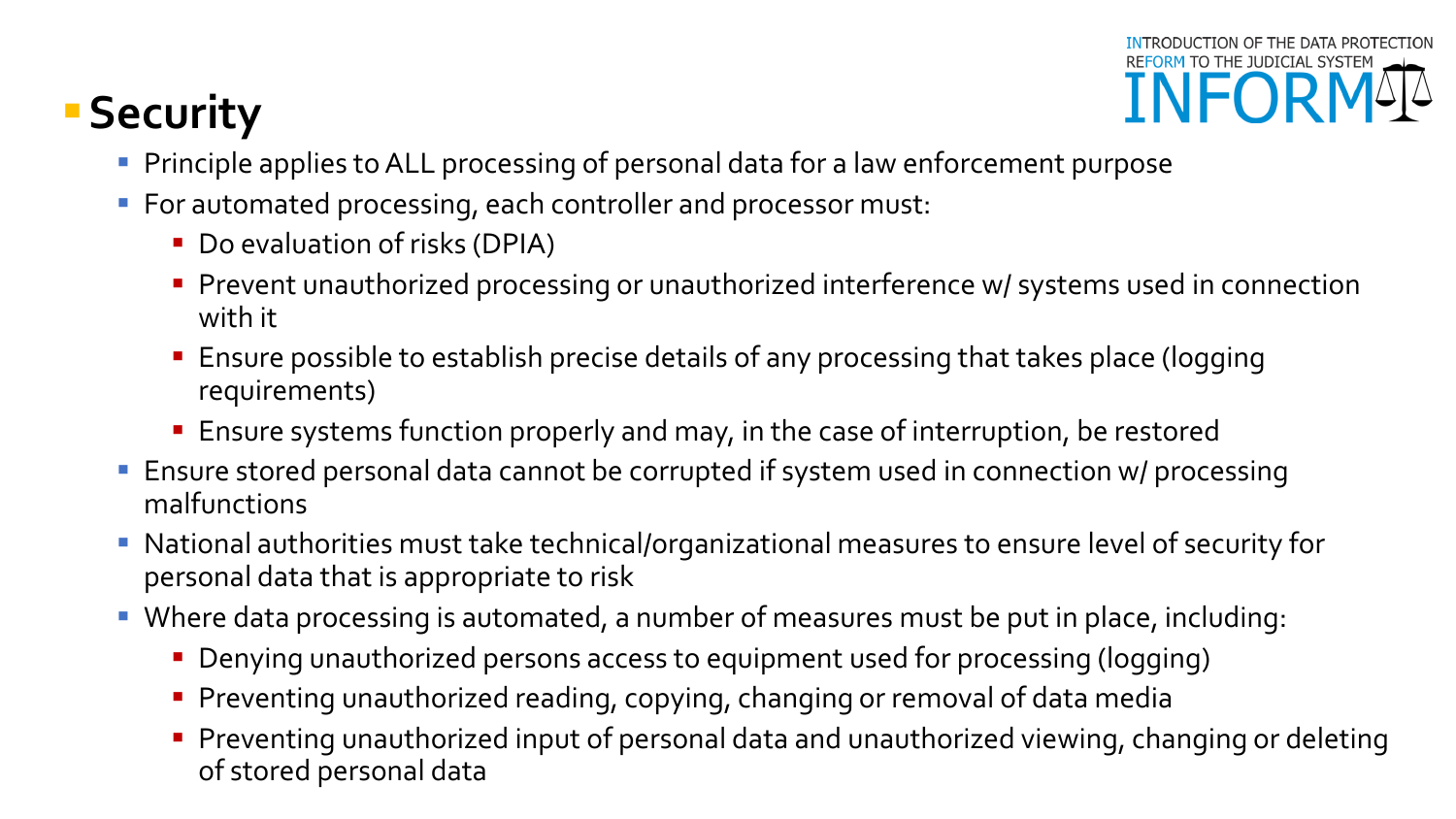# **Security**



- **Principle applies to ALL processing of personal data for a law enforcement purpose**
- For automated processing, each controller and processor must:
	- Do evaluation of risks (DPIA)
	- **Prevent unauthorized processing or unauthorized interference w/ systems used in connection** with it
	- Ensure possible to establish precise details of any processing that takes place (logging requirements)
	- Ensure systems function properly and may, in the case of interruption, be restored
- Ensure stored personal data cannot be corrupted if system used in connection w/ processing malfunctions
- National authorities must take technical/organizational measures to ensure level of security for personal data that is appropriate to risk
- Where data processing is automated, a number of measures must be put in place, including:
	- Denying unauthorized persons access to equipment used for processing (logging)
	- **Preventing unauthorized reading, copying, changing or removal of data media**
	- **Preventing unauthorized input of personal data and unauthorized viewing, changing or deleting** of stored personal data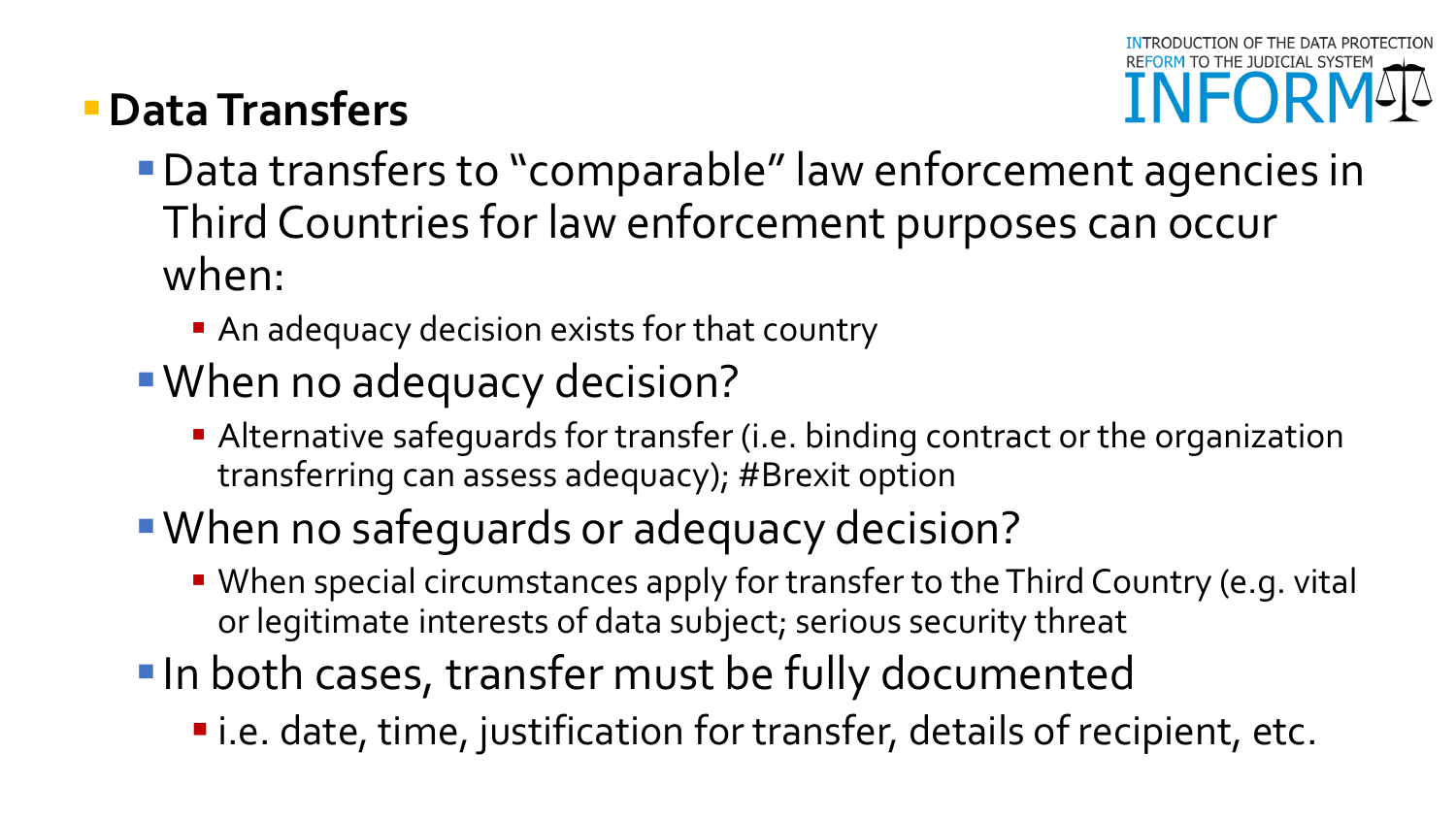# **Data Transfers**

- Data transfers to "comparable" law enforcement agencies in Third Countries for law enforcement purposes can occur when:
	- An adequacy decision exists for that country
- When no adequacy decision?
	- Alternative safeguards for transfer (i.e. binding contract or the organization transferring can assess adequacy); #Brexit option
- When no safeguards or adequacy decision?
	- When special circumstances apply for transfer to the Third Country (e.g. vital or legitimate interests of data subject; serious security threat
- **In both cases, transfer must be fully documented** 
	- i.e. date, time, justification for transfer, details of recipient, etc.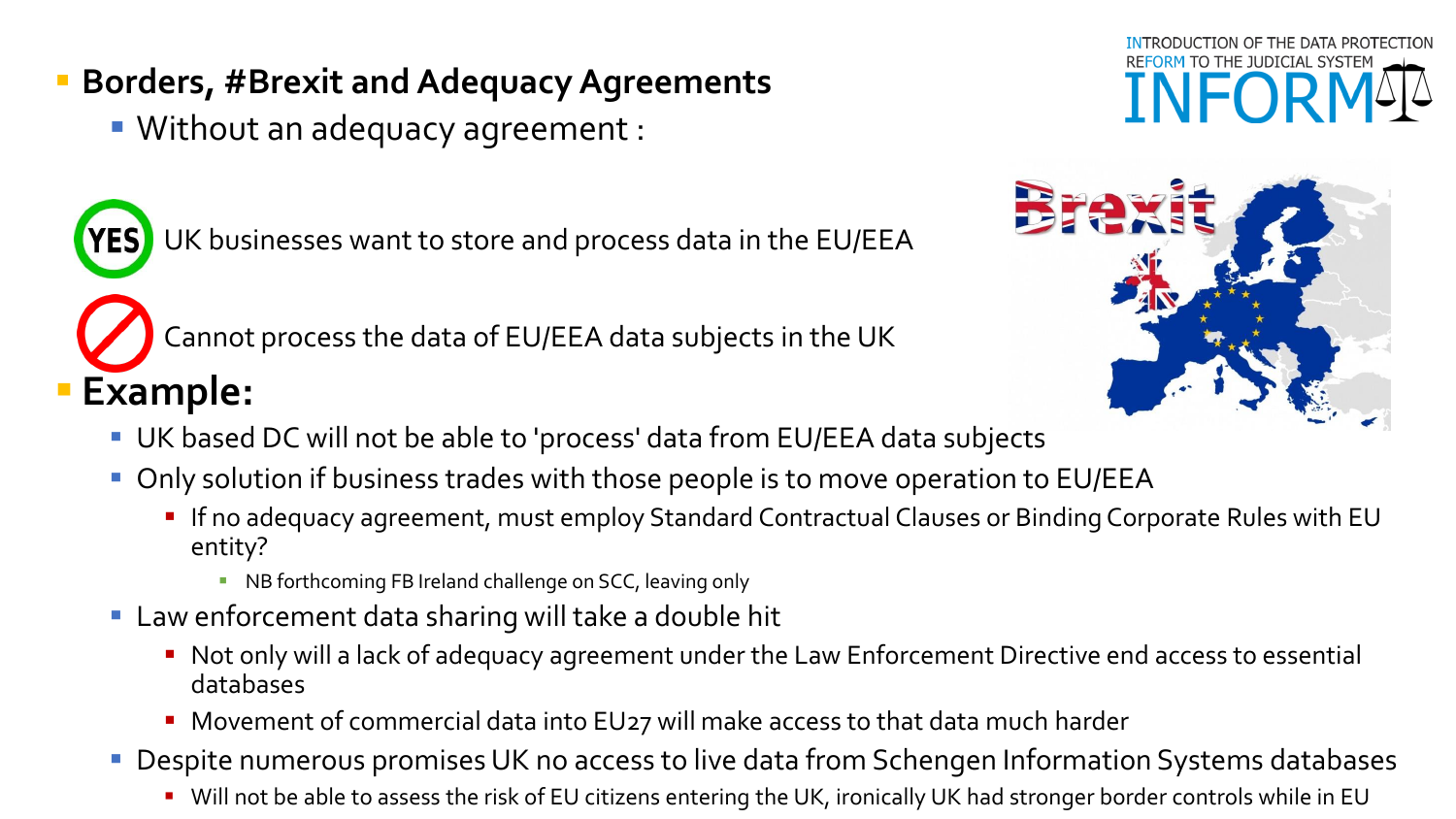#### **Borders, #Brexit and Adequacy Agreements**

Without an adequacy agreement :

UK businesses want to store and process data in the EU/EEA

Cannot process the data of EU/EEA data subjects in the UK

# **Example:**



- UK based DC will not be able to 'process' data from EU/EEA data subjects
- **Only solution if business trades with those people is to move operation to EU/EEA** 
	- **If no adequacy agreement, must employ Standard Contractual Clauses or Binding Corporate Rules with EU** entity?
		- **NB forthcoming FB Ireland challenge on SCC, leaving only**
- Law enforcement data sharing will take a double hit
	- Not only will a lack of adequacy agreement under the Law Enforcement Directive end access to essential databases
	- **Movement of commercial data into EU27 will make access to that data much harder**
- **Despite numerous promises UK no access to live data from Schengen Information Systems databases** 
	- Will not be able to assess the risk of EU citizens entering the UK, ironically UK had stronger border controls while in EU